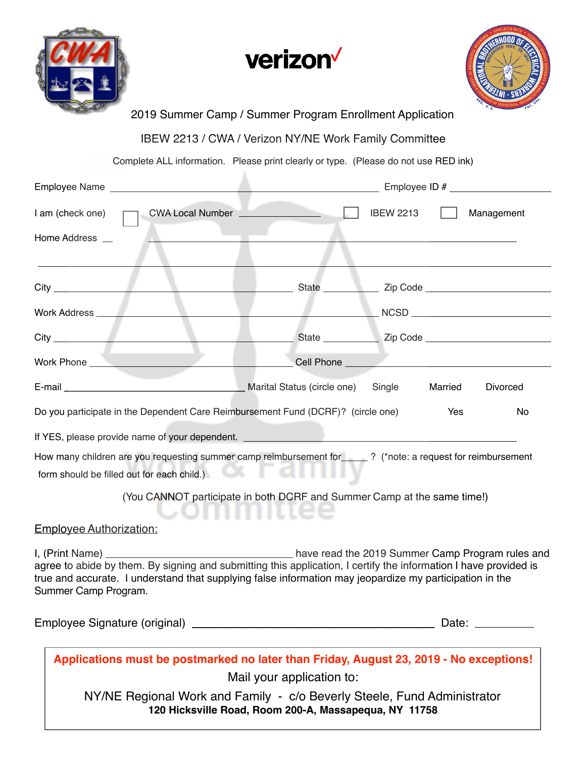





## 2019 Summer Camp / Summer Program Enrollment Application

IBEW 2213 / CWA / Verizon NY/NE Work Family Committee

Complete ALL information. Please print clearly or type. (Please do not use RED ink)

| I am (check one)                                                                                                                                                                                                                                    | CWA Local Number ______________                                                    | <b>IBEW 2213</b> |         | Management      |
|-----------------------------------------------------------------------------------------------------------------------------------------------------------------------------------------------------------------------------------------------------|------------------------------------------------------------------------------------|------------------|---------|-----------------|
| Home Address __                                                                                                                                                                                                                                     |                                                                                    |                  |         |                 |
|                                                                                                                                                                                                                                                     |                                                                                    |                  |         |                 |
|                                                                                                                                                                                                                                                     |                                                                                    |                  |         |                 |
|                                                                                                                                                                                                                                                     |                                                                                    |                  |         |                 |
| Work Phone _______________________                                                                                                                                                                                                                  | <b>Cell Phone Cell Phone</b>                                                       |                  |         |                 |
|                                                                                                                                                                                                                                                     |                                                                                    | Single           | Married | <b>Divorced</b> |
| Do you participate in the Dependent Care Reimbursement Fund (DCRF)? (circle one)                                                                                                                                                                    |                                                                                    |                  | Yes     | No              |
|                                                                                                                                                                                                                                                     |                                                                                    |                  |         |                 |
| How many children are you requesting summer camp reimbursement for ____? (*note: a request for reimbursement<br>form should be filled out for each child.)                                                                                          |                                                                                    |                  |         |                 |
|                                                                                                                                                                                                                                                     | (You CANNOT participate in both DCRF and Summer Camp at the same time!)            |                  |         |                 |
| <b>Employee Authorization:</b>                                                                                                                                                                                                                      |                                                                                    |                  |         |                 |
| agree to abide by them. By signing and submitting this application, I certify the information I have provided is<br>true and accurate. I understand that supplying false information may jeopardize my participation in the<br>Summer Camp Program. |                                                                                    |                  |         |                 |
|                                                                                                                                                                                                                                                     |                                                                                    |                  |         |                 |
| Applications must be postmarked no later than Friday, August 23, 2019 - No exceptions!<br>NY/NE Regional Work and Family - c/o Beverly Steele, Fund Administrator                                                                                   | Mail your application to:<br>120 Hicksville Road, Room 200-A, Massapequa, NY 11758 |                  |         |                 |